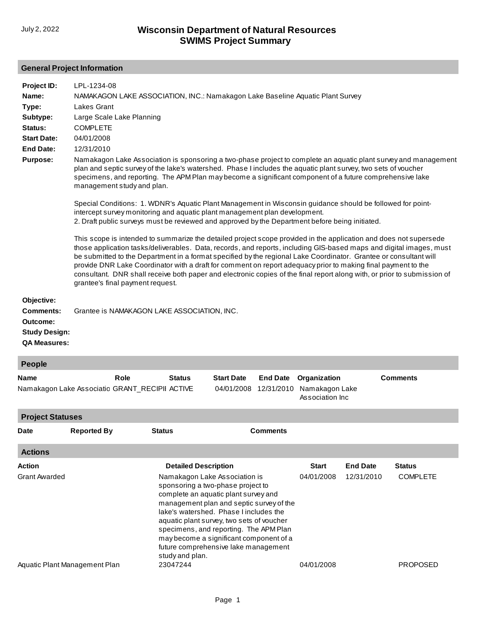## **General Project Information**

| Project ID:                                                                               | LPL-1234-08                                                                                                                                                                                                                                                                                                                                                                                                                                                                                                                                                                                                                                    |  |  |  |  |  |  |  |
|-------------------------------------------------------------------------------------------|------------------------------------------------------------------------------------------------------------------------------------------------------------------------------------------------------------------------------------------------------------------------------------------------------------------------------------------------------------------------------------------------------------------------------------------------------------------------------------------------------------------------------------------------------------------------------------------------------------------------------------------------|--|--|--|--|--|--|--|
| Name:                                                                                     | NAMAKAGON LAKE ASSOCIATION, INC.: Namakagon Lake Baseline Aquatic Plant Survey                                                                                                                                                                                                                                                                                                                                                                                                                                                                                                                                                                 |  |  |  |  |  |  |  |
| Type:                                                                                     | Lakes Grant                                                                                                                                                                                                                                                                                                                                                                                                                                                                                                                                                                                                                                    |  |  |  |  |  |  |  |
| Subtype:                                                                                  | Large Scale Lake Planning                                                                                                                                                                                                                                                                                                                                                                                                                                                                                                                                                                                                                      |  |  |  |  |  |  |  |
| Status:                                                                                   | <b>COMPLETE</b>                                                                                                                                                                                                                                                                                                                                                                                                                                                                                                                                                                                                                                |  |  |  |  |  |  |  |
| <b>Start Date:</b>                                                                        | 04/01/2008                                                                                                                                                                                                                                                                                                                                                                                                                                                                                                                                                                                                                                     |  |  |  |  |  |  |  |
| <b>End Date:</b>                                                                          | 12/31/2010                                                                                                                                                                                                                                                                                                                                                                                                                                                                                                                                                                                                                                     |  |  |  |  |  |  |  |
| <b>Purpose:</b>                                                                           | Namakagon Lake Association is sponsoring a two-phase project to complete an aquatic plant survey and management<br>plan and septic survey of the lake's watershed. Phase I includes the aquatic plant survey, two sets of voucher<br>specimens, and reporting. The APM Plan may become a significant component of a future comprehensive lake<br>management study and plan.                                                                                                                                                                                                                                                                    |  |  |  |  |  |  |  |
|                                                                                           | Special Conditions: 1. WDNR's Aquatic Plant Management in Wisconsin guidance should be followed for point-<br>intercept survey monitoring and aquatic plant management plan development.<br>2. Draft public surveys must be reviewed and approved by the Department before being initiated.                                                                                                                                                                                                                                                                                                                                                    |  |  |  |  |  |  |  |
|                                                                                           | This scope is intended to summarize the detailed project scope provided in the application and does not supersede<br>those application tasks/deliverables. Data, records, and reports, including GIS-based maps and digital images, must<br>be submitted to the Department in a format specified by the regional Lake Coordinator. Grantee or consultant will<br>provide DNR Lake Coordinator with a draft for comment on report adequacy prior to making final payment to the<br>consultant. DNR shall receive both paper and electronic copies of the final report along with, or prior to submission of<br>grantee's final payment request. |  |  |  |  |  |  |  |
| Objective:<br><b>Comments:</b><br>Outcome:<br><b>Study Design:</b><br><b>QA Measures:</b> | Grantee is NAMAKAGON LAKE ASSOCIATION, INC.                                                                                                                                                                                                                                                                                                                                                                                                                                                                                                                                                                                                    |  |  |  |  |  |  |  |
| People                                                                                    |                                                                                                                                                                                                                                                                                                                                                                                                                                                                                                                                                                                                                                                |  |  |  |  |  |  |  |
| <b>Name</b>                                                                               | <b>Start Date</b><br><b>Comments</b><br>Role<br><b>Status</b><br><b>End Date</b><br>Organization                                                                                                                                                                                                                                                                                                                                                                                                                                                                                                                                               |  |  |  |  |  |  |  |
|                                                                                           | Namakagon Lake Associatio GRANT_RECIPII ACTIVE<br>04/01/2008<br>12/31/2010<br>Namakagon Lake<br>Association Inc.                                                                                                                                                                                                                                                                                                                                                                                                                                                                                                                               |  |  |  |  |  |  |  |

**Actions Action Detailed Description Start End Date Status** Grant Awarded [Aquatic Plant Management Plan](http://prodoasint.dnr.wi.gov/swims/viewAction.do?id=37825272) Namakagon Lake Association is sponsoring a two-phase project to complete an aquatic plant survey and [management plan and septic survey of the](http://prodoasint.dnr.wi.gov/swims/viewAction.do?id=318) lake's watershed. Phase I includes the aquatic plant survey, two sets of voucher specimens, and reporting. The APM Plan may become a significant component of a future comprehensive lake management study and plan. 23047244 04/01/2008 04/01/2008 12/31/2010 COMPLETE PROPOSED **Project Statuses Date Reported By Status Comments**